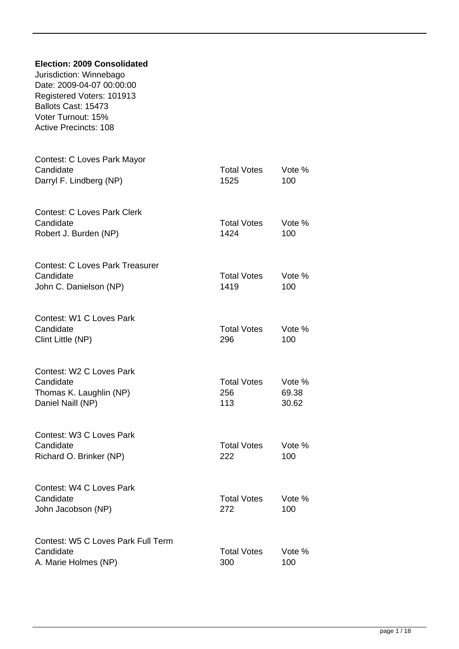| <b>Election: 2009 Consolidated</b><br>Jurisdiction: Winnebago<br>Date: 2009-04-07 00:00:00<br>Registered Voters: 101913<br>Ballots Cast: 15473<br>Voter Turnout: 15%<br><b>Active Precincts: 108</b> |                                  |                          |
|------------------------------------------------------------------------------------------------------------------------------------------------------------------------------------------------------|----------------------------------|--------------------------|
| Contest: C Loves Park Mayor<br>Candidate<br>Darryl F. Lindberg (NP)                                                                                                                                  | <b>Total Votes</b><br>1525       | Vote %<br>100            |
| <b>Contest: C Loves Park Clerk</b><br>Candidate<br>Robert J. Burden (NP)                                                                                                                             | <b>Total Votes</b><br>1424       | Vote %<br>100            |
| <b>Contest: C Loves Park Treasurer</b><br>Candidate<br>John C. Danielson (NP)                                                                                                                        | <b>Total Votes</b><br>1419       | Vote %<br>100            |
| Contest: W1 C Loves Park<br>Candidate<br>Clint Little (NP)                                                                                                                                           | <b>Total Votes</b><br>296        | Vote %<br>100            |
| Contest: W2 C Loves Park<br>Candidate<br>Thomas K. Laughlin (NP)<br>Daniel Naill (NP)                                                                                                                | <b>Total Votes</b><br>256<br>113 | Vote %<br>69.38<br>30.62 |
| Contest: W3 C Loves Park<br>Candidate<br>Richard O. Brinker (NP)                                                                                                                                     | <b>Total Votes</b><br>222        | Vote %<br>100            |
| Contest: W4 C Loves Park<br>Candidate<br>John Jacobson (NP)                                                                                                                                          | <b>Total Votes</b><br>272        | Vote %<br>100            |
| Contest: W5 C Loves Park Full Term<br>Candidate<br>A. Marie Holmes (NP)                                                                                                                              | <b>Total Votes</b><br>300        | Vote %<br>100            |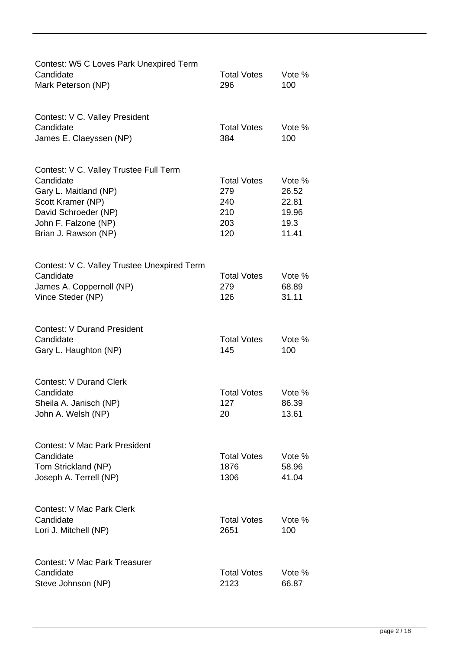| Contest: W5 C Loves Park Unexpired Term<br>Candidate<br>Mark Peterson (NP)                                                                                                | <b>Total Votes</b><br>296                             | Vote %<br>100                                      |
|---------------------------------------------------------------------------------------------------------------------------------------------------------------------------|-------------------------------------------------------|----------------------------------------------------|
| Contest: V C. Valley President<br>Candidate<br>James E. Claeyssen (NP)                                                                                                    | <b>Total Votes</b><br>384                             | Vote %<br>100                                      |
| Contest: V C. Valley Trustee Full Term<br>Candidate<br>Gary L. Maitland (NP)<br>Scott Kramer (NP)<br>David Schroeder (NP)<br>John F. Falzone (NP)<br>Brian J. Rawson (NP) | <b>Total Votes</b><br>279<br>240<br>210<br>203<br>120 | Vote %<br>26.52<br>22.81<br>19.96<br>19.3<br>11.41 |
| Contest: V C. Valley Trustee Unexpired Term<br>Candidate<br>James A. Coppernoll (NP)<br>Vince Steder (NP)                                                                 | <b>Total Votes</b><br>279<br>126                      | Vote %<br>68.89<br>31.11                           |
| <b>Contest: V Durand President</b><br>Candidate<br>Gary L. Haughton (NP)                                                                                                  | <b>Total Votes</b><br>145                             | Vote %<br>100                                      |
| <b>Contest: V Durand Clerk</b><br>Candidate<br>Sheila A. Janisch (NP)<br>John A. Welsh (NP)                                                                               | <b>Total Votes</b><br>127<br>20                       | Vote %<br>86.39<br>13.61                           |
| <b>Contest: V Mac Park President</b><br>Candidate<br>Tom Strickland (NP)<br>Joseph A. Terrell (NP)                                                                        | <b>Total Votes</b><br>1876<br>1306                    | Vote %<br>58.96<br>41.04                           |
| <b>Contest: V Mac Park Clerk</b><br>Candidate<br>Lori J. Mitchell (NP)                                                                                                    | <b>Total Votes</b><br>2651                            | Vote %<br>100                                      |
| <b>Contest: V Mac Park Treasurer</b><br>Candidate<br>Steve Johnson (NP)                                                                                                   | <b>Total Votes</b><br>2123                            | Vote %<br>66.87                                    |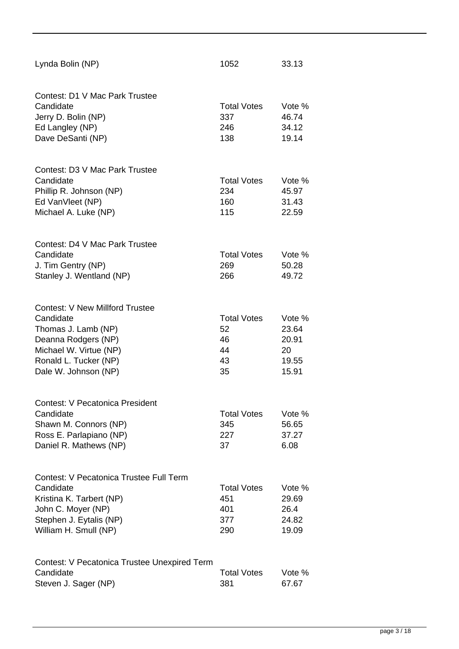| Lynda Bolin (NP)                                                                                                                                                             | 1052                                             | 33.13                                            |
|------------------------------------------------------------------------------------------------------------------------------------------------------------------------------|--------------------------------------------------|--------------------------------------------------|
| Contest: D1 V Mac Park Trustee<br>Candidate<br>Jerry D. Bolin (NP)<br>Ed Langley (NP)<br>Dave DeSanti (NP)                                                                   | <b>Total Votes</b><br>337<br>246<br>138          | Vote %<br>46.74<br>34.12<br>19.14                |
| Contest: D3 V Mac Park Trustee<br>Candidate<br>Phillip R. Johnson (NP)<br>Ed VanVleet (NP)<br>Michael A. Luke (NP)                                                           | <b>Total Votes</b><br>234<br>160<br>115          | Vote %<br>45.97<br>31.43<br>22.59                |
| Contest: D4 V Mac Park Trustee<br>Candidate<br>J. Tim Gentry (NP)<br>Stanley J. Wentland (NP)                                                                                | <b>Total Votes</b><br>269<br>266                 | Vote %<br>50.28<br>49.72                         |
| <b>Contest: V New Millford Trustee</b><br>Candidate<br>Thomas J. Lamb (NP)<br>Deanna Rodgers (NP)<br>Michael W. Virtue (NP)<br>Ronald L. Tucker (NP)<br>Dale W. Johnson (NP) | <b>Total Votes</b><br>52<br>46<br>44<br>43<br>35 | Vote %<br>23.64<br>20.91<br>20<br>19.55<br>15.91 |
| <b>Contest: V Pecatonica President</b><br>Candidate<br>Shawn M. Connors (NP)<br>Ross E. Parlapiano (NP)<br>Daniel R. Mathews (NP)                                            | <b>Total Votes</b><br>345<br>227<br>37           | Vote %<br>56.65<br>37.27<br>6.08                 |
| <b>Contest: V Pecatonica Trustee Full Term</b><br>Candidate<br>Kristina K. Tarbert (NP)<br>John C. Moyer (NP)<br>Stephen J. Eytalis (NP)<br>William H. Smull (NP)            | <b>Total Votes</b><br>451<br>401<br>377<br>290   | Vote %<br>29.69<br>26.4<br>24.82<br>19.09        |
| Contest: V Pecatonica Trustee Unexpired Term<br>Candidate<br>Steven J. Sager (NP)                                                                                            | <b>Total Votes</b><br>381                        | Vote %<br>67.67                                  |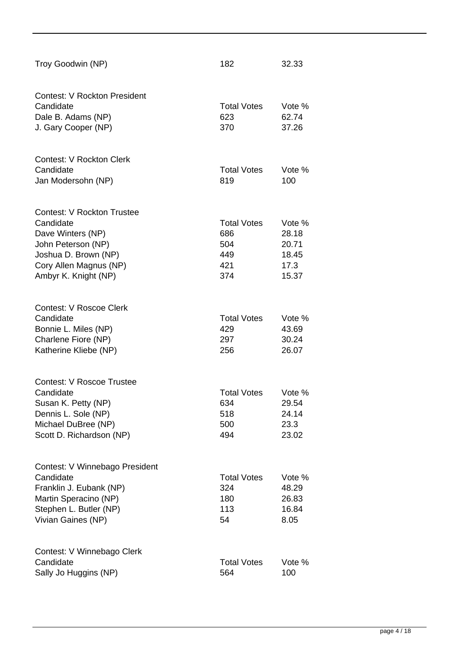| Troy Goodwin (NP)                                                                                                                                                   | 182                                                   | 32.33                                              |
|---------------------------------------------------------------------------------------------------------------------------------------------------------------------|-------------------------------------------------------|----------------------------------------------------|
| <b>Contest: V Rockton President</b><br>Candidate<br>Dale B. Adams (NP)<br>J. Gary Cooper (NP)                                                                       | <b>Total Votes</b><br>623<br>370                      | Vote %<br>62.74<br>37.26                           |
| Contest: V Rockton Clerk<br>Candidate<br>Jan Modersohn (NP)                                                                                                         | <b>Total Votes</b><br>819                             | Vote %<br>100                                      |
| <b>Contest: V Rockton Trustee</b><br>Candidate<br>Dave Winters (NP)<br>John Peterson (NP)<br>Joshua D. Brown (NP)<br>Cory Allen Magnus (NP)<br>Ambyr K. Knight (NP) | <b>Total Votes</b><br>686<br>504<br>449<br>421<br>374 | Vote %<br>28.18<br>20.71<br>18.45<br>17.3<br>15.37 |
| <b>Contest: V Roscoe Clerk</b><br>Candidate<br>Bonnie L. Miles (NP)<br>Charlene Fiore (NP)<br>Katherine Kliebe (NP)                                                 | <b>Total Votes</b><br>429<br>297<br>256               | Vote %<br>43.69<br>30.24<br>26.07                  |
| <b>Contest: V Roscoe Trustee</b><br>Candidate<br>Susan K. Petty (NP)<br>Dennis L. Sole (NP)<br>Michael DuBree (NP)<br>Scott D. Richardson (NP)                      | <b>Total Votes</b><br>634<br>518<br>500<br>494        | Vote %<br>29.54<br>24.14<br>23.3<br>23.02          |
| Contest: V Winnebago President<br>Candidate<br>Franklin J. Eubank (NP)<br>Martin Speracino (NP)<br>Stephen L. Butler (NP)<br>Vivian Gaines (NP)                     | <b>Total Votes</b><br>324<br>180<br>113<br>54         | Vote %<br>48.29<br>26.83<br>16.84<br>8.05          |
| Contest: V Winnebago Clerk<br>Candidate<br>Sally Jo Huggins (NP)                                                                                                    | <b>Total Votes</b><br>564                             | Vote %<br>100                                      |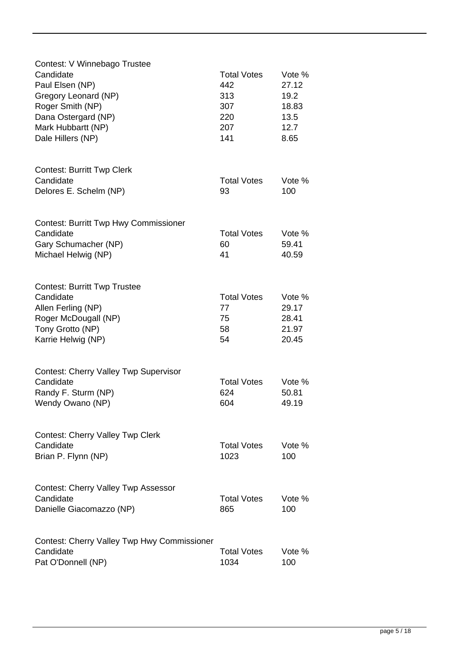| Contest: V Winnebago Trustee                 |                    |        |
|----------------------------------------------|--------------------|--------|
| Candidate                                    | <b>Total Votes</b> | Vote % |
| Paul Elsen (NP)                              | 442                | 27.12  |
| Gregory Leonard (NP)                         | 313                | 19.2   |
| Roger Smith (NP)                             | 307                | 18.83  |
| Dana Ostergard (NP)                          | 220                | 13.5   |
| Mark Hubbartt (NP)                           | 207                | 12.7   |
| Dale Hillers (NP)                            | 141                | 8.65   |
|                                              |                    |        |
| <b>Contest: Burritt Twp Clerk</b>            |                    |        |
| Candidate                                    | <b>Total Votes</b> | Vote % |
| Delores E. Schelm (NP)                       | 93                 | 100    |
|                                              |                    |        |
| <b>Contest: Burritt Twp Hwy Commissioner</b> |                    |        |
| Candidate                                    | <b>Total Votes</b> | Vote % |
| Gary Schumacher (NP)                         | 60                 | 59.41  |
| Michael Helwig (NP)                          | 41                 | 40.59  |
|                                              |                    |        |
| <b>Contest: Burritt Twp Trustee</b>          |                    |        |
| Candidate                                    | <b>Total Votes</b> | Vote % |
| Allen Ferling (NP)                           | 77                 | 29.17  |
| Roger McDougall (NP)                         | 75                 | 28.41  |
| Tony Grotto (NP)                             | 58                 | 21.97  |
| Karrie Helwig (NP)                           | 54                 | 20.45  |
| <b>Contest: Cherry Valley Twp Supervisor</b> |                    |        |
| Candidate                                    | <b>Total Votes</b> | Vote % |
|                                              | 624                |        |
| Randy F. Sturm (NP)                          |                    | 50.81  |
| Wendy Owano (NP)                             | 604                | 49.19  |
| <b>Contest: Cherry Valley Twp Clerk</b>      |                    |        |
| Candidate                                    | <b>Total Votes</b> | Vote % |
| Brian P. Flynn (NP)                          | 1023               | 100    |
|                                              |                    |        |
| <b>Contest: Cherry Valley Twp Assessor</b>   |                    |        |
| Candidate                                    | <b>Total Votes</b> | Vote % |
| Danielle Giacomazzo (NP)                     | 865                | 100    |
|                                              |                    |        |
| Contest: Cherry Valley Twp Hwy Commissioner  |                    |        |
| Candidate                                    | <b>Total Votes</b> | Vote % |
| Pat O'Donnell (NP)                           | 1034               | 100    |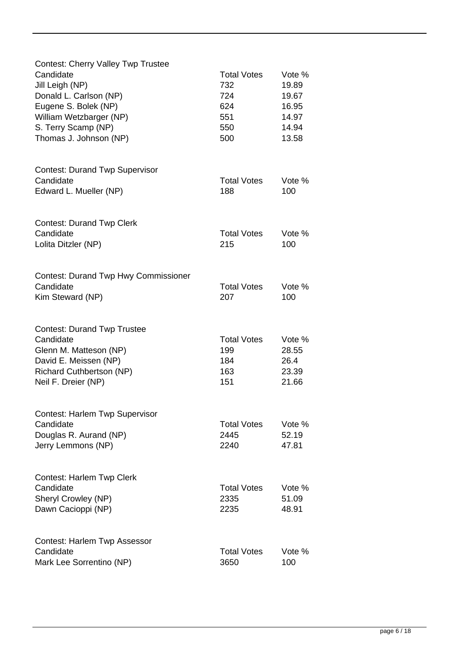| <b>Contest: Cherry Valley Twp Trustee</b>          |                            |                 |
|----------------------------------------------------|----------------------------|-----------------|
| Candidate                                          | <b>Total Votes</b>         | Vote %          |
| Jill Leigh (NP)                                    | 732                        | 19.89           |
| Donald L. Carlson (NP)                             | 724                        | 19.67           |
| Eugene S. Bolek (NP)                               | 624                        | 16.95           |
| William Wetzbarger (NP)                            | 551                        | 14.97           |
| S. Terry Scamp (NP)                                | 550                        | 14.94           |
| Thomas J. Johnson (NP)                             | 500                        | 13.58           |
|                                                    |                            |                 |
| <b>Contest: Durand Twp Supervisor</b>              |                            |                 |
| Candidate                                          | <b>Total Votes</b>         | Vote %          |
| Edward L. Mueller (NP)                             | 188                        | 100             |
|                                                    |                            |                 |
| <b>Contest: Durand Twp Clerk</b>                   |                            |                 |
| Candidate                                          | <b>Total Votes</b>         | Vote %          |
| Lolita Ditzler (NP)                                | 215                        | 100             |
|                                                    |                            |                 |
| <b>Contest: Durand Twp Hwy Commissioner</b>        |                            |                 |
| Candidate                                          | <b>Total Votes</b>         | Vote %          |
| Kim Steward (NP)                                   | 207                        | 100             |
| <b>Contest: Durand Twp Trustee</b>                 |                            |                 |
| Candidate                                          | <b>Total Votes</b>         | Vote %          |
| Glenn M. Matteson (NP)                             | 199                        | 28.55           |
| David E. Meissen (NP)                              | 184                        | 26.4            |
| Richard Cuthbertson (NP)                           | 163                        | 23.39           |
| Neil F. Dreier (NP)                                | 151                        | 21.66           |
|                                                    |                            |                 |
| <b>Contest: Harlem Twp Supervisor</b><br>Candidate |                            |                 |
|                                                    | <b>Total Votes</b><br>2445 | Vote %<br>52.19 |
| Douglas R. Aurand (NP)<br>Jerry Lemmons (NP)       | 2240                       | 47.81           |
|                                                    |                            |                 |
| <b>Contest: Harlem Twp Clerk</b>                   |                            |                 |
| Candidate                                          | <b>Total Votes</b>         | Vote %          |
| Sheryl Crowley (NP)                                | 2335                       | 51.09           |
| Dawn Cacioppi (NP)                                 | 2235                       | 48.91           |
|                                                    |                            |                 |
| Contest: Harlem Twp Assessor<br>Candidate          | <b>Total Votes</b>         | Vote %          |
| Mark Lee Sorrentino (NP)                           | 3650                       | 100             |
|                                                    |                            |                 |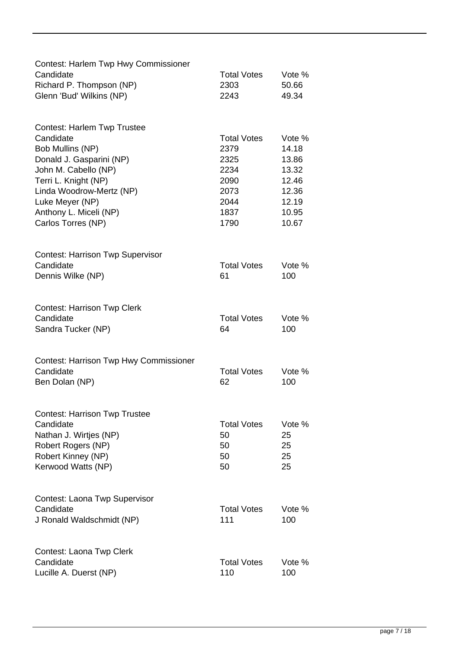| <b>Contest: Harlem Twp Hwy Commissioner</b><br>Candidate   | <b>Total Votes</b>        | Vote %         |
|------------------------------------------------------------|---------------------------|----------------|
| Richard P. Thompson (NP)<br>Glenn 'Bud' Wilkins (NP)       | 2303<br>2243              | 50.66<br>49.34 |
| <b>Contest: Harlem Twp Trustee</b><br>Candidate            | <b>Total Votes</b>        | Vote %         |
| Bob Mullins (NP)                                           | 2379                      | 14.18          |
| Donald J. Gasparini (NP)                                   | 2325                      | 13.86          |
| John M. Cabello (NP)                                       | 2234                      | 13.32          |
| Terri L. Knight (NP)                                       | 2090                      | 12.46          |
| Linda Woodrow-Mertz (NP)                                   | 2073                      | 12.36          |
| Luke Meyer (NP)<br>Anthony L. Miceli (NP)                  | 2044<br>1837              | 12.19<br>10.95 |
| Carlos Torres (NP)                                         | 1790                      | 10.67          |
| <b>Contest: Harrison Twp Supervisor</b>                    |                           |                |
| Candidate                                                  | <b>Total Votes</b>        | Vote %         |
| Dennis Wilke (NP)                                          | 61                        | 100            |
| <b>Contest: Harrison Twp Clerk</b><br>Candidate            |                           |                |
| Sandra Tucker (NP)                                         | <b>Total Votes</b><br>64  | Vote %<br>100  |
|                                                            |                           |                |
| <b>Contest: Harrison Twp Hwy Commissioner</b><br>Candidate | <b>Total Votes</b>        | Vote %         |
| Ben Dolan (NP)                                             | 62                        | 100            |
|                                                            |                           |                |
| <b>Contest: Harrison Twp Trustee</b><br>Candidate          | <b>Total Votes</b>        | Vote %         |
| Nathan J. Wirtjes (NP)                                     | 50                        | 25             |
| Robert Rogers (NP)                                         | 50                        | 25             |
| Robert Kinney (NP)                                         | 50                        | 25             |
| Kerwood Watts (NP)                                         | 50                        | 25             |
| <b>Contest: Laona Twp Supervisor</b>                       |                           |                |
| Candidate                                                  | <b>Total Votes</b><br>111 | Vote %         |
| J Ronald Waldschmidt (NP)                                  |                           | 100            |
| Contest: Laona Twp Clerk                                   |                           |                |
| Candidate<br>Lucille A. Duerst (NP)                        | <b>Total Votes</b><br>110 | Vote %<br>100  |
|                                                            |                           |                |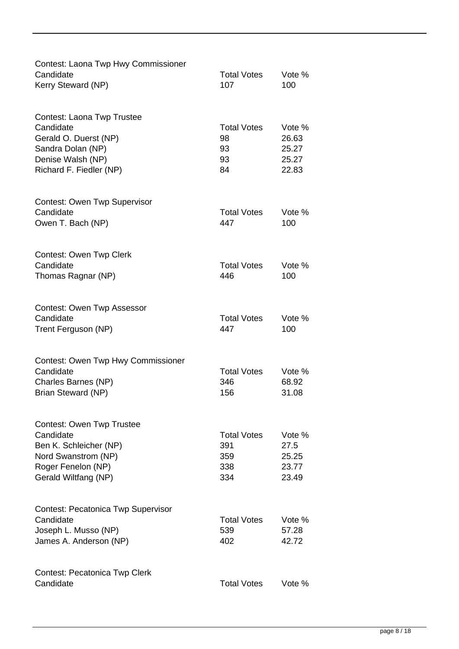| Contest: Laona Twp Hwy Commissioner<br>Candidate<br>Kerry Steward (NP)                                                                       | <b>Total Votes</b><br>107                      | Vote %<br>100                              |
|----------------------------------------------------------------------------------------------------------------------------------------------|------------------------------------------------|--------------------------------------------|
|                                                                                                                                              |                                                |                                            |
| Contest: Laona Twp Trustee<br>Candidate<br>Gerald O. Duerst (NP)<br>Sandra Dolan (NP)<br>Denise Walsh (NP)<br>Richard F. Fiedler (NP)        | <b>Total Votes</b><br>98<br>93<br>93<br>84     | Vote %<br>26.63<br>25.27<br>25.27<br>22.83 |
| <b>Contest: Owen Twp Supervisor</b><br>Candidate<br>Owen T. Bach (NP)                                                                        | <b>Total Votes</b><br>447                      | Vote %<br>100                              |
| <b>Contest: Owen Twp Clerk</b><br>Candidate<br>Thomas Ragnar (NP)                                                                            | <b>Total Votes</b><br>446                      | Vote %<br>100                              |
| Contest: Owen Twp Assessor<br>Candidate<br>Trent Ferguson (NP)                                                                               | <b>Total Votes</b><br>447                      | Vote %<br>100                              |
| Contest: Owen Twp Hwy Commissioner<br>Candidate<br>Charles Barnes (NP)<br>Brian Steward (NP)                                                 | <b>Total Votes</b><br>346<br>156               | Vote %<br>68.92<br>31.08                   |
| <b>Contest: Owen Twp Trustee</b><br>Candidate<br>Ben K. Schleicher (NP)<br>Nord Swanstrom (NP)<br>Roger Fenelon (NP)<br>Gerald Wiltfang (NP) | <b>Total Votes</b><br>391<br>359<br>338<br>334 | Vote %<br>27.5<br>25.25<br>23.77<br>23.49  |
| <b>Contest: Pecatonica Twp Supervisor</b><br>Candidate<br>Joseph L. Musso (NP)<br>James A. Anderson (NP)                                     | <b>Total Votes</b><br>539<br>402               | Vote %<br>57.28<br>42.72                   |
| Contest: Pecatonica Twp Clerk<br>Candidate                                                                                                   | <b>Total Votes</b>                             | Vote %                                     |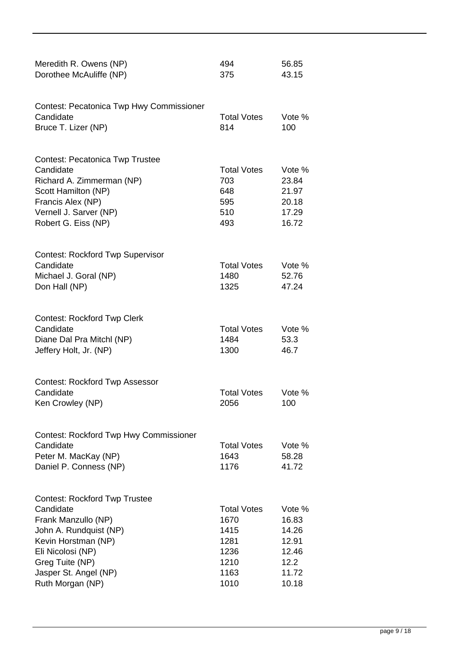| Meredith R. Owens (NP)<br>Dorothee McAuliffe (NP)                                                                                                                                                              | 494<br>375                                                                 | 56.85<br>43.15                                                       |
|----------------------------------------------------------------------------------------------------------------------------------------------------------------------------------------------------------------|----------------------------------------------------------------------------|----------------------------------------------------------------------|
| <b>Contest: Pecatonica Twp Hwy Commissioner</b><br>Candidate<br>Bruce T. Lizer (NP)                                                                                                                            | <b>Total Votes</b><br>814                                                  | Vote %<br>100                                                        |
| <b>Contest: Pecatonica Twp Trustee</b><br>Candidate<br>Richard A. Zimmerman (NP)<br>Scott Hamilton (NP)<br>Francis Alex (NP)<br>Vernell J. Sarver (NP)<br>Robert G. Eiss (NP)                                  | <b>Total Votes</b><br>703<br>648<br>595<br>510<br>493                      | Vote %<br>23.84<br>21.97<br>20.18<br>17.29<br>16.72                  |
| <b>Contest: Rockford Twp Supervisor</b><br>Candidate<br>Michael J. Goral (NP)<br>Don Hall (NP)                                                                                                                 | <b>Total Votes</b><br>1480<br>1325                                         | Vote %<br>52.76<br>47.24                                             |
| <b>Contest: Rockford Twp Clerk</b><br>Candidate<br>Diane Dal Pra Mitchl (NP)<br>Jeffery Holt, Jr. (NP)                                                                                                         | <b>Total Votes</b><br>1484<br>1300                                         | Vote %<br>53.3<br>46.7                                               |
| <b>Contest: Rockford Twp Assessor</b><br>Candidate<br>Ken Crowley (NP)                                                                                                                                         | <b>Total Votes</b><br>2056                                                 | Vote %<br>100                                                        |
| <b>Contest: Rockford Twp Hwy Commissioner</b><br>Candidate<br>Peter M. MacKay (NP)<br>Daniel P. Conness (NP)                                                                                                   | <b>Total Votes</b><br>1643<br>1176                                         | Vote %<br>58.28<br>41.72                                             |
| <b>Contest: Rockford Twp Trustee</b><br>Candidate<br>Frank Manzullo (NP)<br>John A. Rundquist (NP)<br>Kevin Horstman (NP)<br>Eli Nicolosi (NP)<br>Greg Tuite (NP)<br>Jasper St. Angel (NP)<br>Ruth Morgan (NP) | <b>Total Votes</b><br>1670<br>1415<br>1281<br>1236<br>1210<br>1163<br>1010 | Vote %<br>16.83<br>14.26<br>12.91<br>12.46<br>12.2<br>11.72<br>10.18 |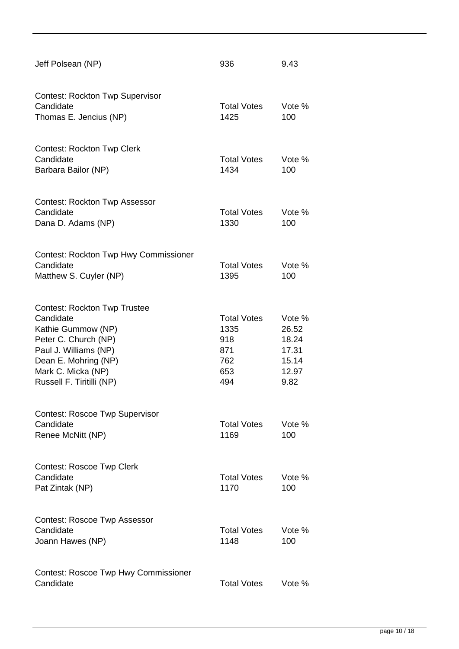| Jeff Polsean (NP)                                                                                                                                                                                  | 936                                                           | 9.43                                                        |
|----------------------------------------------------------------------------------------------------------------------------------------------------------------------------------------------------|---------------------------------------------------------------|-------------------------------------------------------------|
| <b>Contest: Rockton Twp Supervisor</b><br>Candidate<br>Thomas E. Jencius (NP)                                                                                                                      | <b>Total Votes</b><br>1425                                    | Vote %<br>100                                               |
| <b>Contest: Rockton Twp Clerk</b><br>Candidate<br>Barbara Bailor (NP)                                                                                                                              | <b>Total Votes</b><br>1434                                    | Vote %<br>100                                               |
| <b>Contest: Rockton Twp Assessor</b><br>Candidate<br>Dana D. Adams (NP)                                                                                                                            | <b>Total Votes</b><br>1330                                    | Vote %<br>100                                               |
| <b>Contest: Rockton Twp Hwy Commissioner</b><br>Candidate<br>Matthew S. Cuyler (NP)                                                                                                                | <b>Total Votes</b><br>1395                                    | Vote %<br>100                                               |
| <b>Contest: Rockton Twp Trustee</b><br>Candidate<br>Kathie Gummow (NP)<br>Peter C. Church (NP)<br>Paul J. Williams (NP)<br>Dean E. Mohring (NP)<br>Mark C. Micka (NP)<br>Russell F. Tiritilli (NP) | <b>Total Votes</b><br>1335<br>918<br>871<br>762<br>653<br>494 | Vote %<br>26.52<br>18.24<br>17.31<br>15.14<br>12.97<br>9.82 |
| <b>Contest: Roscoe Twp Supervisor</b><br>Candidate<br>Renee McNitt (NP)                                                                                                                            | <b>Total Votes</b><br>1169                                    | Vote %<br>100                                               |
| <b>Contest: Roscoe Twp Clerk</b><br>Candidate<br>Pat Zintak (NP)                                                                                                                                   | <b>Total Votes</b><br>1170                                    | Vote %<br>100                                               |
| <b>Contest: Roscoe Twp Assessor</b><br>Candidate<br>Joann Hawes (NP)                                                                                                                               | <b>Total Votes</b><br>1148                                    | Vote %<br>100                                               |
| <b>Contest: Roscoe Twp Hwy Commissioner</b><br>Candidate                                                                                                                                           | <b>Total Votes</b>                                            | Vote %                                                      |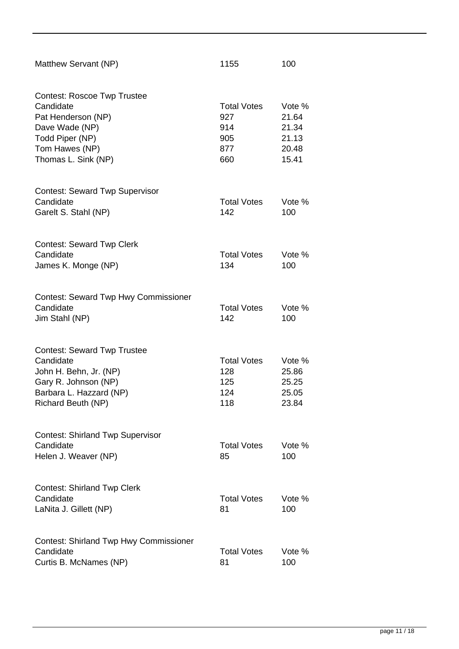| Matthew Servant (NP)                                                                                                                                | 1155                                                  | 100                                                 |
|-----------------------------------------------------------------------------------------------------------------------------------------------------|-------------------------------------------------------|-----------------------------------------------------|
| <b>Contest: Roscoe Twp Trustee</b><br>Candidate<br>Pat Henderson (NP)<br>Dave Wade (NP)<br>Todd Piper (NP)<br>Tom Hawes (NP)<br>Thomas L. Sink (NP) | <b>Total Votes</b><br>927<br>914<br>905<br>877<br>660 | Vote %<br>21.64<br>21.34<br>21.13<br>20.48<br>15.41 |
| <b>Contest: Seward Twp Supervisor</b><br>Candidate<br>Garelt S. Stahl (NP)                                                                          | <b>Total Votes</b><br>142                             | Vote %<br>100                                       |
| <b>Contest: Seward Twp Clerk</b><br>Candidate<br>James K. Monge (NP)                                                                                | <b>Total Votes</b><br>134                             | Vote %<br>100                                       |
| <b>Contest: Seward Twp Hwy Commissioner</b><br>Candidate<br>Jim Stahl (NP)                                                                          | <b>Total Votes</b><br>142                             | Vote %<br>100                                       |
| <b>Contest: Seward Twp Trustee</b><br>Candidate<br>John H. Behn, Jr. (NP)<br>Gary R. Johnson (NP)<br>Barbara L. Hazzard (NP)<br>Richard Beuth (NP)  | <b>Total Votes</b><br>128<br>125<br>124<br>118        | Vote %<br>25.86<br>25.25<br>25.05<br>23.84          |
| <b>Contest: Shirland Twp Supervisor</b><br>Candidate<br>Helen J. Weaver (NP)                                                                        | <b>Total Votes</b><br>85                              | Vote %<br>100                                       |
| <b>Contest: Shirland Twp Clerk</b><br>Candidate<br>LaNita J. Gillett (NP)                                                                           | <b>Total Votes</b><br>81                              | Vote %<br>100                                       |
| <b>Contest: Shirland Twp Hwy Commissioner</b><br>Candidate<br>Curtis B. McNames (NP)                                                                | <b>Total Votes</b><br>81                              | Vote %<br>100                                       |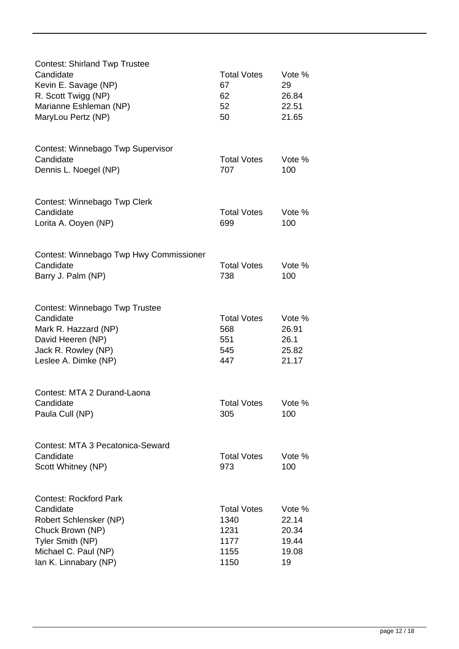| <b>Contest: Shirland Twp Trustee</b><br>Candidate<br>Kevin E. Savage (NP)<br>R. Scott Twigg (NP)<br>Marianne Eshleman (NP)<br>MaryLou Pertz (NP)              | <b>Total Votes</b><br>67<br>62<br>52<br>50                 | Vote %<br>29<br>26.84<br>22.51<br>21.65          |
|---------------------------------------------------------------------------------------------------------------------------------------------------------------|------------------------------------------------------------|--------------------------------------------------|
| Contest: Winnebago Twp Supervisor<br>Candidate<br>Dennis L. Noegel (NP)                                                                                       | <b>Total Votes</b><br>707                                  | Vote %<br>100                                    |
| Contest: Winnebago Twp Clerk<br>Candidate<br>Lorita A. Ooyen (NP)                                                                                             | <b>Total Votes</b><br>699                                  | Vote %<br>100                                    |
| Contest: Winnebago Twp Hwy Commissioner<br>Candidate<br>Barry J. Palm (NP)                                                                                    | <b>Total Votes</b><br>738                                  | Vote %<br>100                                    |
| Contest: Winnebago Twp Trustee<br>Candidate<br>Mark R. Hazzard (NP)<br>David Heeren (NP)<br>Jack R. Rowley (NP)<br>Leslee A. Dimke (NP)                       | <b>Total Votes</b><br>568<br>551<br>545<br>447             | Vote %<br>26.91<br>26.1<br>25.82<br>21.17        |
| Contest: MTA 2 Durand-Laona<br>Candidate<br>Paula Cull (NP)                                                                                                   | <b>Total Votes</b><br>305                                  | Vote %<br>100                                    |
| Contest: MTA 3 Pecatonica-Seward<br>Candidate<br>Scott Whitney (NP)                                                                                           | <b>Total Votes</b><br>973                                  | Vote %<br>100                                    |
| <b>Contest: Rockford Park</b><br>Candidate<br>Robert Schlensker (NP)<br>Chuck Brown (NP)<br>Tyler Smith (NP)<br>Michael C. Paul (NP)<br>Ian K. Linnabary (NP) | <b>Total Votes</b><br>1340<br>1231<br>1177<br>1155<br>1150 | Vote %<br>22.14<br>20.34<br>19.44<br>19.08<br>19 |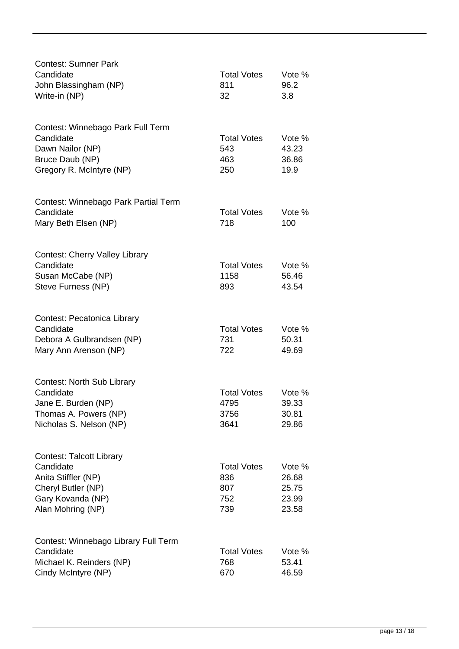| <b>Contest: Sumner Park</b><br>Candidate<br>John Blassingham (NP)<br>Write-in (NP)                                                  | <b>Total Votes</b><br>811<br>32                | Vote %<br>96.2<br>3.8                      |
|-------------------------------------------------------------------------------------------------------------------------------------|------------------------------------------------|--------------------------------------------|
| Contest: Winnebago Park Full Term<br>Candidate<br>Dawn Nailor (NP)<br>Bruce Daub (NP)<br>Gregory R. McIntyre (NP)                   | <b>Total Votes</b><br>543<br>463<br>250        | Vote %<br>43.23<br>36.86<br>19.9           |
| Contest: Winnebago Park Partial Term<br>Candidate<br>Mary Beth Elsen (NP)                                                           | <b>Total Votes</b><br>718                      | Vote %<br>100                              |
| <b>Contest: Cherry Valley Library</b><br>Candidate<br>Susan McCabe (NP)<br>Steve Furness (NP)                                       | <b>Total Votes</b><br>1158<br>893              | Vote %<br>56.46<br>43.54                   |
| Contest: Pecatonica Library<br>Candidate<br>Debora A Gulbrandsen (NP)<br>Mary Ann Arenson (NP)                                      | <b>Total Votes</b><br>731<br>722               | Vote %<br>50.31<br>49.69                   |
| <b>Contest: North Sub Library</b><br>Candidate<br>Jane E. Burden (NP)<br>Thomas A. Powers (NP)<br>Nicholas S. Nelson (NP)           | <b>Total Votes</b><br>4795<br>3756<br>3641     | Vote %<br>39.33<br>30.81<br>29.86          |
| <b>Contest: Talcott Library</b><br>Candidate<br>Anita Stiffler (NP)<br>Cheryl Butler (NP)<br>Gary Kovanda (NP)<br>Alan Mohring (NP) | <b>Total Votes</b><br>836<br>807<br>752<br>739 | Vote %<br>26.68<br>25.75<br>23.99<br>23.58 |
| Contest: Winnebago Library Full Term<br>Candidate<br>Michael K. Reinders (NP)<br>Cindy McIntyre (NP)                                | <b>Total Votes</b><br>768<br>670               | Vote %<br>53.41<br>46.59                   |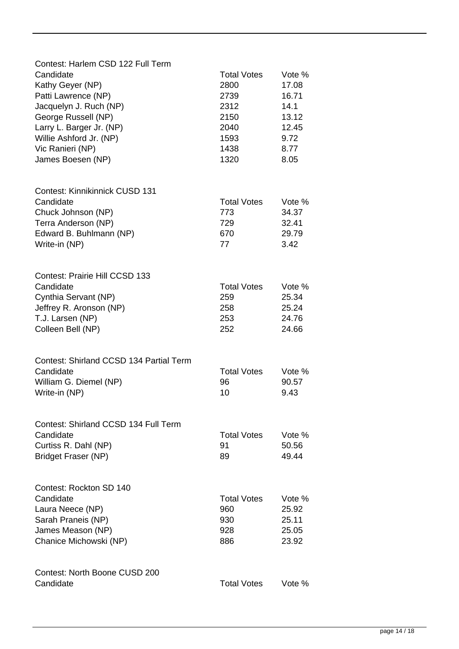| Contest: Harlem CSD 122 Full Term       |                    |        |
|-----------------------------------------|--------------------|--------|
| Candidate                               | <b>Total Votes</b> | Vote % |
| Kathy Geyer (NP)                        | 2800               | 17.08  |
| Patti Lawrence (NP)                     | 2739               | 16.71  |
| Jacquelyn J. Ruch (NP)                  | 2312               | 14.1   |
| George Russell (NP)                     | 2150               | 13.12  |
| Larry L. Barger Jr. (NP)                | 2040               | 12.45  |
| Willie Ashford Jr. (NP)                 | 1593               | 9.72   |
| Vic Ranieri (NP)                        | 1438               | 8.77   |
| James Boesen (NP)                       | 1320               | 8.05   |
|                                         |                    |        |
| Contest: Kinnikinnick CUSD 131          |                    |        |
| Candidate                               | <b>Total Votes</b> | Vote % |
| Chuck Johnson (NP)                      | 773                | 34.37  |
| Terra Anderson (NP)                     | 729                | 32.41  |
| Edward B. Buhlmann (NP)                 | 670                | 29.79  |
| Write-in (NP)                           | 77                 | 3.42   |
|                                         |                    |        |
| <b>Contest: Prairie Hill CCSD 133</b>   |                    |        |
| Candidate                               | <b>Total Votes</b> | Vote % |
| Cynthia Servant (NP)                    | 259                | 25.34  |
| Jeffrey R. Aronson (NP)                 | 258                | 25.24  |
| T.J. Larsen (NP)                        | 253                | 24.76  |
| Colleen Bell (NP)                       | 252                | 24.66  |
|                                         |                    |        |
| Contest: Shirland CCSD 134 Partial Term |                    |        |
| Candidate                               | <b>Total Votes</b> | Vote % |
| William G. Diemel (NP)                  | 96                 | 90.57  |
| Write-in (NP)                           | 10                 | 9.43   |
|                                         |                    |        |
| Contest: Shirland CCSD 134 Full Term    |                    |        |
| Candidate                               | <b>Total Votes</b> | Vote % |
| Curtiss R. Dahl (NP)                    | 91                 | 50.56  |
| <b>Bridget Fraser (NP)</b>              | 89                 | 49.44  |
|                                         |                    |        |
| Contest: Rockton SD 140                 |                    |        |
| Candidate                               | <b>Total Votes</b> | Vote % |
| Laura Neece (NP)                        | 960                | 25.92  |
| Sarah Praneis (NP)                      | 930                | 25.11  |
| James Meason (NP)                       | 928                | 25.05  |
| Chanice Michowski (NP)                  | 886                | 23.92  |
|                                         |                    |        |
| Contest: North Boone CUSD 200           |                    |        |
| Candidate                               | <b>Total Votes</b> | Vote % |
|                                         |                    |        |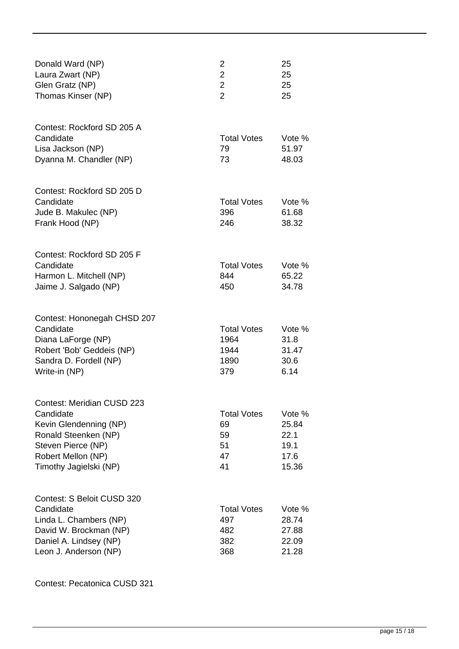| Donald Ward (NP)<br>Laura Zwart (NP)<br>Glen Gratz (NP)<br>Thomas Kinser (NP)                                                                                          | 2<br>$\overline{2}$<br>$\overline{2}$<br>$\overline{2}$ | 25<br>25<br>25<br>25                             |
|------------------------------------------------------------------------------------------------------------------------------------------------------------------------|---------------------------------------------------------|--------------------------------------------------|
| Contest: Rockford SD 205 A<br>Candidate<br>Lisa Jackson (NP)<br>Dyanna M. Chandler (NP)                                                                                | <b>Total Votes</b><br>79<br>73                          | Vote %<br>51.97<br>48.03                         |
| Contest: Rockford SD 205 D<br>Candidate<br>Jude B. Makulec (NP)<br>Frank Hood (NP)                                                                                     | <b>Total Votes</b><br>396<br>246                        | Vote %<br>61.68<br>38.32                         |
| Contest: Rockford SD 205 F<br>Candidate<br>Harmon L. Mitchell (NP)<br>Jaime J. Salgado (NP)                                                                            | <b>Total Votes</b><br>844<br>450                        | Vote %<br>65.22<br>34.78                         |
| Contest: Hononegah CHSD 207<br>Candidate<br>Diana LaForge (NP)<br>Robert 'Bob' Geddeis (NP)<br>Sandra D. Fordell (NP)<br>Write-in (NP)                                 | <b>Total Votes</b><br>1964<br>1944<br>1890<br>379       | Vote %<br>31.8<br>31.47<br>30.6<br>6.14          |
| <b>Contest: Meridian CUSD 223</b><br>Candidate<br>Kevin Glendenning (NP)<br>Ronald Steenken (NP)<br>Steven Pierce (NP)<br>Robert Mellon (NP)<br>Timothy Jagielski (NP) | <b>Total Votes</b><br>69<br>59<br>51<br>47<br>41        | Vote %<br>25.84<br>22.1<br>19.1<br>17.6<br>15.36 |
| Contest: S Beloit CUSD 320<br>Candidate<br>Linda L. Chambers (NP)<br>David W. Brockman (NP)<br>Daniel A. Lindsey (NP)<br>Leon J. Anderson (NP)                         | <b>Total Votes</b><br>497<br>482<br>382<br>368          | Vote %<br>28.74<br>27.88<br>22.09<br>21.28       |

Contest: Pecatonica CUSD 321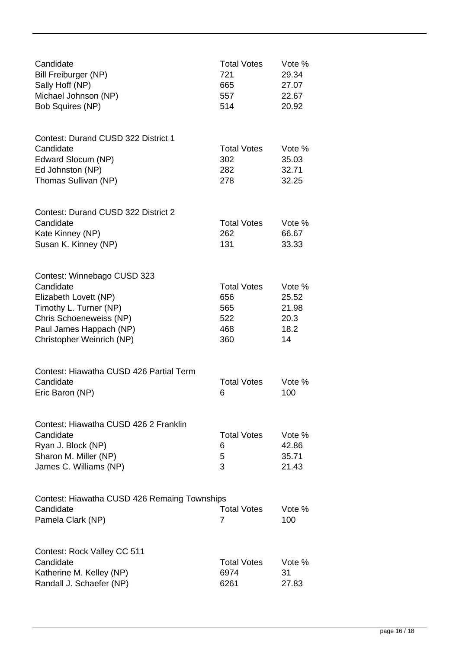| Candidate<br>Bill Freiburger (NP)<br>Sally Hoff (NP)<br>Michael Johnson (NP)<br><b>Bob Squires (NP)</b>                                                                        | <b>Total Votes</b><br>721<br>665<br>557<br>514        | Vote %<br>29.34<br>27.07<br>22.67<br>20.92     |
|--------------------------------------------------------------------------------------------------------------------------------------------------------------------------------|-------------------------------------------------------|------------------------------------------------|
| <b>Contest: Durand CUSD 322 District 1</b><br>Candidate<br>Edward Slocum (NP)<br>Ed Johnston (NP)<br>Thomas Sullivan (NP)                                                      | <b>Total Votes</b><br>302<br>282<br>278               | Vote %<br>35.03<br>32.71<br>32.25              |
| <b>Contest: Durand CUSD 322 District 2</b><br>Candidate<br>Kate Kinney (NP)<br>Susan K. Kinney (NP)                                                                            | <b>Total Votes</b><br>262<br>131                      | Vote %<br>66.67<br>33.33                       |
| Contest: Winnebago CUSD 323<br>Candidate<br>Elizabeth Lovett (NP)<br>Timothy L. Turner (NP)<br>Chris Schoeneweiss (NP)<br>Paul James Happach (NP)<br>Christopher Weinrich (NP) | <b>Total Votes</b><br>656<br>565<br>522<br>468<br>360 | Vote %<br>25.52<br>21.98<br>20.3<br>18.2<br>14 |
| Contest: Hiawatha CUSD 426 Partial Term<br>Candidate<br>Eric Baron (NP)                                                                                                        | <b>Total Votes</b><br>6                               | Vote %<br>100                                  |
| Contest: Hiawatha CUSD 426 2 Franklin<br>Candidate<br>Ryan J. Block (NP)<br>Sharon M. Miller (NP)<br>James C. Williams (NP)                                                    | <b>Total Votes</b><br>6<br>5<br>3                     | Vote %<br>42.86<br>35.71<br>21.43              |
| Contest: Hiawatha CUSD 426 Remaing Townships<br>Candidate<br>Pamela Clark (NP)                                                                                                 | <b>Total Votes</b><br>7                               | Vote %<br>100                                  |
| Contest: Rock Valley CC 511<br>Candidate<br>Katherine M. Kelley (NP)<br>Randall J. Schaefer (NP)                                                                               | <b>Total Votes</b><br>6974<br>6261                    | Vote %<br>31<br>27.83                          |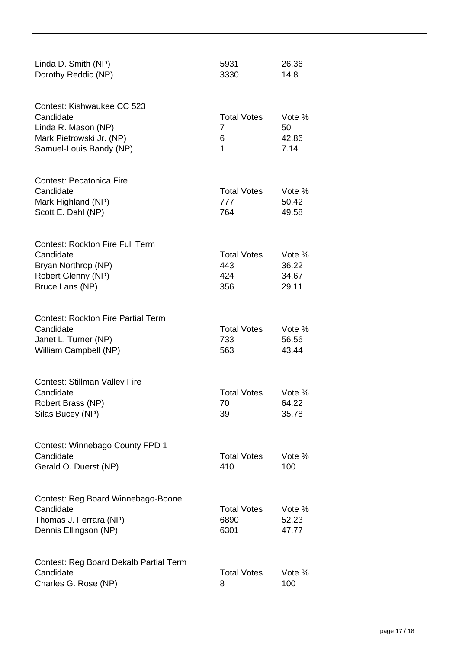| Linda D. Smith (NP)<br>Dorothy Reddic (NP)                                                                            | 5931<br>3330                            | 26.36<br>14.8                     |
|-----------------------------------------------------------------------------------------------------------------------|-----------------------------------------|-----------------------------------|
| Contest: Kishwaukee CC 523<br>Candidate<br>Linda R. Mason (NP)<br>Mark Pietrowski Jr. (NP)<br>Samuel-Louis Bandy (NP) | <b>Total Votes</b><br>7<br>6<br>1       | Vote %<br>50<br>42.86<br>7.14     |
| <b>Contest: Pecatonica Fire</b><br>Candidate<br>Mark Highland (NP)<br>Scott E. Dahl (NP)                              | <b>Total Votes</b><br>777<br>764        | Vote %<br>50.42<br>49.58          |
| <b>Contest: Rockton Fire Full Term</b><br>Candidate<br>Bryan Northrop (NP)<br>Robert Glenny (NP)<br>Bruce Lans (NP)   | <b>Total Votes</b><br>443<br>424<br>356 | Vote %<br>36.22<br>34.67<br>29.11 |
| <b>Contest: Rockton Fire Partial Term</b><br>Candidate<br>Janet L. Turner (NP)<br>William Campbell (NP)               | <b>Total Votes</b><br>733<br>563        | Vote %<br>56.56<br>43.44          |
| <b>Contest: Stillman Valley Fire</b><br>Candidate<br>Robert Brass (NP)<br>Silas Bucey (NP)                            | <b>Total Votes</b><br>70<br>39          | Vote %<br>64.22<br>35.78          |
| Contest: Winnebago County FPD 1<br>Candidate<br>Gerald O. Duerst (NP)                                                 | <b>Total Votes</b><br>410               | Vote %<br>100                     |
| Contest: Reg Board Winnebago-Boone<br>Candidate<br>Thomas J. Ferrara (NP)<br>Dennis Ellingson (NP)                    | <b>Total Votes</b><br>6890<br>6301      | Vote %<br>52.23<br>47.77          |
| Contest: Reg Board Dekalb Partial Term<br>Candidate<br>Charles G. Rose (NP)                                           | <b>Total Votes</b><br>8                 | Vote %<br>100                     |